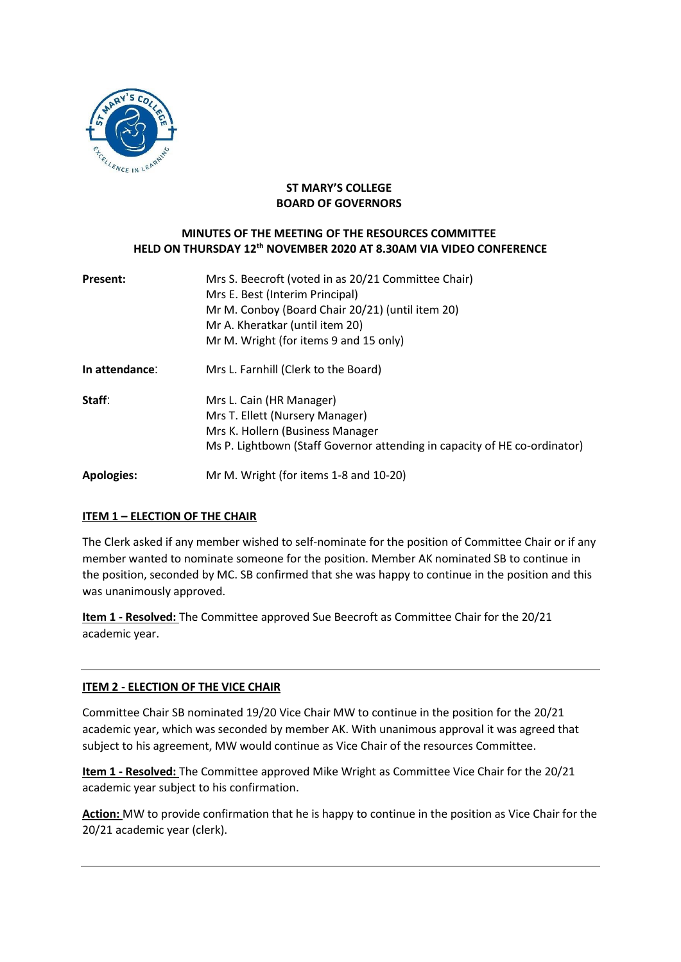

# **ST MARY'S COLLEGE BOARD OF GOVERNORS**

# **MINUTES OF THE MEETING OF THE RESOURCES COMMITTEE HELD ON THURSDAY 12th NOVEMBER 2020 AT 8.30AM VIA VIDEO CONFERENCE**

| <b>Present:</b>   | Mrs S. Beecroft (voted in as 20/21 Committee Chair)<br>Mrs E. Best (Interim Principal)<br>Mr M. Conboy (Board Chair 20/21) (until item 20)<br>Mr A. Kheratkar (until item 20)<br>Mr M. Wright (for items 9 and 15 only) |
|-------------------|-------------------------------------------------------------------------------------------------------------------------------------------------------------------------------------------------------------------------|
| In attendance:    | Mrs L. Farnhill (Clerk to the Board)                                                                                                                                                                                    |
| Staff:            | Mrs L. Cain (HR Manager)<br>Mrs T. Ellett (Nursery Manager)<br>Mrs K. Hollern (Business Manager<br>Ms P. Lightbown (Staff Governor attending in capacity of HE co-ordinator)                                            |
| <b>Apologies:</b> | Mr M. Wright (for items 1-8 and 10-20)                                                                                                                                                                                  |

# **ITEM 1 – ELECTION OF THE CHAIR**

The Clerk asked if any member wished to self-nominate for the position of Committee Chair or if any member wanted to nominate someone for the position. Member AK nominated SB to continue in the position, seconded by MC. SB confirmed that she was happy to continue in the position and this was unanimously approved.

**Item 1 - Resolved:** The Committee approved Sue Beecroft as Committee Chair for the 20/21 academic year.

# **ITEM 2 - ELECTION OF THE VICE CHAIR**

Committee Chair SB nominated 19/20 Vice Chair MW to continue in the position for the 20/21 academic year, which was seconded by member AK. With unanimous approval it was agreed that subject to his agreement, MW would continue as Vice Chair of the resources Committee.

**Item 1 - Resolved:** The Committee approved Mike Wright as Committee Vice Chair for the 20/21 academic year subject to his confirmation.

**Action:** MW to provide confirmation that he is happy to continue in the position as Vice Chair for the 20/21 academic year (clerk).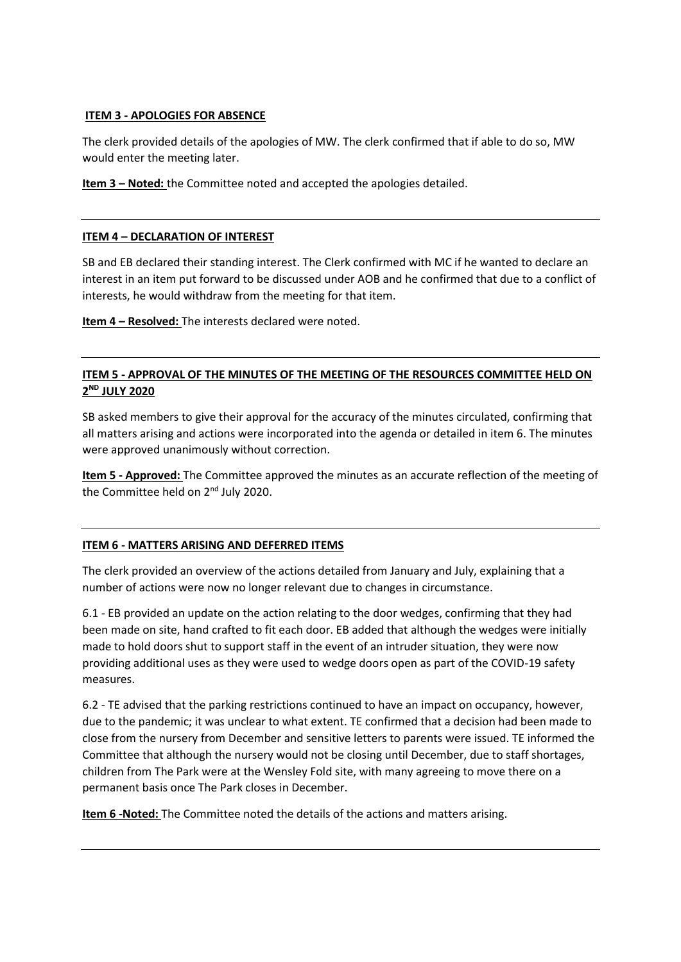# **ITEM 3 - APOLOGIES FOR ABSENCE**

The clerk provided details of the apologies of MW. The clerk confirmed that if able to do so, MW would enter the meeting later.

**Item 3 – Noted:** the Committee noted and accepted the apologies detailed.

### **ITEM 4 – DECLARATION OF INTEREST**

SB and EB declared their standing interest. The Clerk confirmed with MC if he wanted to declare an interest in an item put forward to be discussed under AOB and he confirmed that due to a conflict of interests, he would withdraw from the meeting for that item.

**Item 4 – Resolved:** The interests declared were noted.

# **ITEM 5 - APPROVAL OF THE MINUTES OF THE MEETING OF THE RESOURCES COMMITTEE HELD ON 2 ND JULY 2020**

SB asked members to give their approval for the accuracy of the minutes circulated, confirming that all matters arising and actions were incorporated into the agenda or detailed in item 6. The minutes were approved unanimously without correction.

**Item 5 - Approved:** The Committee approved the minutes as an accurate reflection of the meeting of the Committee held on 2<sup>nd</sup> July 2020.

### **ITEM 6 - MATTERS ARISING AND DEFERRED ITEMS**

The clerk provided an overview of the actions detailed from January and July, explaining that a number of actions were now no longer relevant due to changes in circumstance.

6.1 - EB provided an update on the action relating to the door wedges, confirming that they had been made on site, hand crafted to fit each door. EB added that although the wedges were initially made to hold doors shut to support staff in the event of an intruder situation, they were now providing additional uses as they were used to wedge doors open as part of the COVID-19 safety measures.

6.2 - TE advised that the parking restrictions continued to have an impact on occupancy, however, due to the pandemic; it was unclear to what extent. TE confirmed that a decision had been made to close from the nursery from December and sensitive letters to parents were issued. TE informed the Committee that although the nursery would not be closing until December, due to staff shortages, children from The Park were at the Wensley Fold site, with many agreeing to move there on a permanent basis once The Park closes in December.

**Item 6 -Noted:** The Committee noted the details of the actions and matters arising.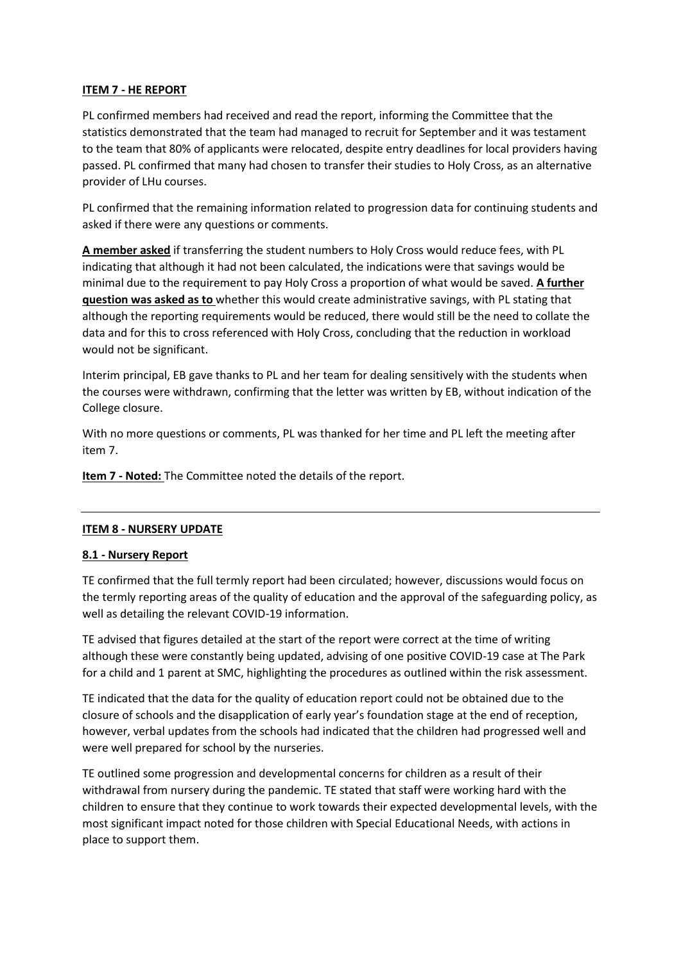### **ITEM 7 - HE REPORT**

PL confirmed members had received and read the report, informing the Committee that the statistics demonstrated that the team had managed to recruit for September and it was testament to the team that 80% of applicants were relocated, despite entry deadlines for local providers having passed. PL confirmed that many had chosen to transfer their studies to Holy Cross, as an alternative provider of LHu courses.

PL confirmed that the remaining information related to progression data for continuing students and asked if there were any questions or comments.

**A member asked** if transferring the student numbers to Holy Cross would reduce fees, with PL indicating that although it had not been calculated, the indications were that savings would be minimal due to the requirement to pay Holy Cross a proportion of what would be saved. **A further question was asked as to** whether this would create administrative savings, with PL stating that although the reporting requirements would be reduced, there would still be the need to collate the data and for this to cross referenced with Holy Cross, concluding that the reduction in workload would not be significant.

Interim principal, EB gave thanks to PL and her team for dealing sensitively with the students when the courses were withdrawn, confirming that the letter was written by EB, without indication of the College closure.

With no more questions or comments, PL was thanked for her time and PL left the meeting after item 7.

**Item 7 - Noted:** The Committee noted the details of the report.

# **ITEM 8 - NURSERY UPDATE**

### **8.1 - Nursery Report**

TE confirmed that the full termly report had been circulated; however, discussions would focus on the termly reporting areas of the quality of education and the approval of the safeguarding policy, as well as detailing the relevant COVID-19 information.

TE advised that figures detailed at the start of the report were correct at the time of writing although these were constantly being updated, advising of one positive COVID-19 case at The Park for a child and 1 parent at SMC, highlighting the procedures as outlined within the risk assessment.

TE indicated that the data for the quality of education report could not be obtained due to the closure of schools and the disapplication of early year's foundation stage at the end of reception, however, verbal updates from the schools had indicated that the children had progressed well and were well prepared for school by the nurseries.

TE outlined some progression and developmental concerns for children as a result of their withdrawal from nursery during the pandemic. TE stated that staff were working hard with the children to ensure that they continue to work towards their expected developmental levels, with the most significant impact noted for those children with Special Educational Needs, with actions in place to support them.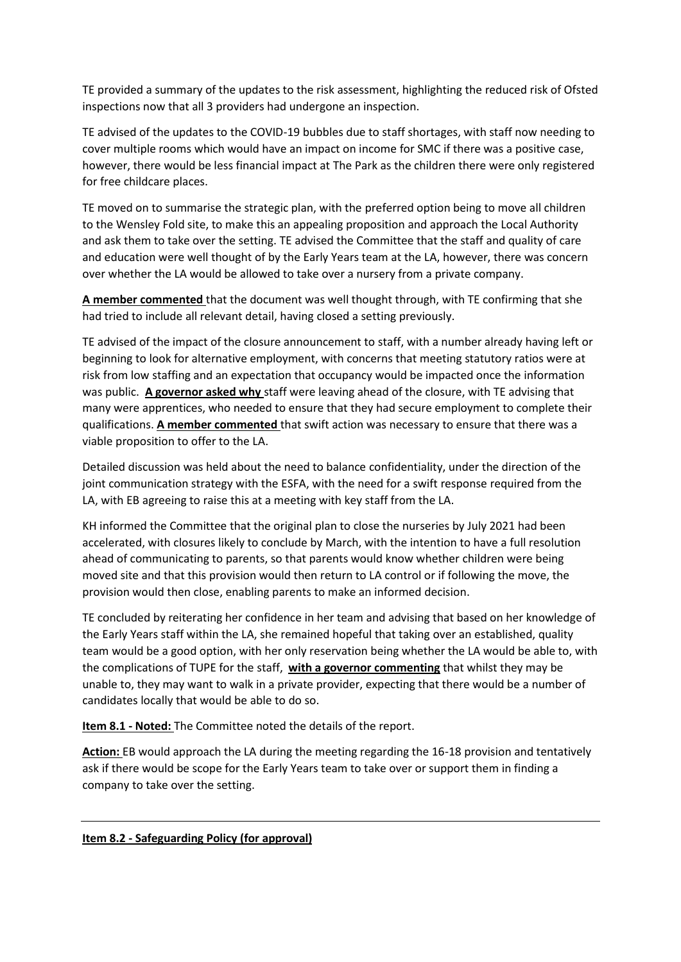TE provided a summary of the updates to the risk assessment, highlighting the reduced risk of Ofsted inspections now that all 3 providers had undergone an inspection.

TE advised of the updates to the COVID-19 bubbles due to staff shortages, with staff now needing to cover multiple rooms which would have an impact on income for SMC if there was a positive case, however, there would be less financial impact at The Park as the children there were only registered for free childcare places.

TE moved on to summarise the strategic plan, with the preferred option being to move all children to the Wensley Fold site, to make this an appealing proposition and approach the Local Authority and ask them to take over the setting. TE advised the Committee that the staff and quality of care and education were well thought of by the Early Years team at the LA, however, there was concern over whether the LA would be allowed to take over a nursery from a private company.

**A member commented** that the document was well thought through, with TE confirming that she had tried to include all relevant detail, having closed a setting previously.

TE advised of the impact of the closure announcement to staff, with a number already having left or beginning to look for alternative employment, with concerns that meeting statutory ratios were at risk from low staffing and an expectation that occupancy would be impacted once the information was public. **A governor asked why** staff were leaving ahead of the closure, with TE advising that many were apprentices, who needed to ensure that they had secure employment to complete their qualifications. **A member commented** that swift action was necessary to ensure that there was a viable proposition to offer to the LA.

Detailed discussion was held about the need to balance confidentiality, under the direction of the joint communication strategy with the ESFA, with the need for a swift response required from the LA, with EB agreeing to raise this at a meeting with key staff from the LA.

KH informed the Committee that the original plan to close the nurseries by July 2021 had been accelerated, with closures likely to conclude by March, with the intention to have a full resolution ahead of communicating to parents, so that parents would know whether children were being moved site and that this provision would then return to LA control or if following the move, the provision would then close, enabling parents to make an informed decision.

TE concluded by reiterating her confidence in her team and advising that based on her knowledge of the Early Years staff within the LA, she remained hopeful that taking over an established, quality team would be a good option, with her only reservation being whether the LA would be able to, with the complications of TUPE for the staff, **with a governor commenting** that whilst they may be unable to, they may want to walk in a private provider, expecting that there would be a number of candidates locally that would be able to do so.

**Item 8.1 - Noted:** The Committee noted the details of the report.

**Action:** EB would approach the LA during the meeting regarding the 16-18 provision and tentatively ask if there would be scope for the Early Years team to take over or support them in finding a company to take over the setting.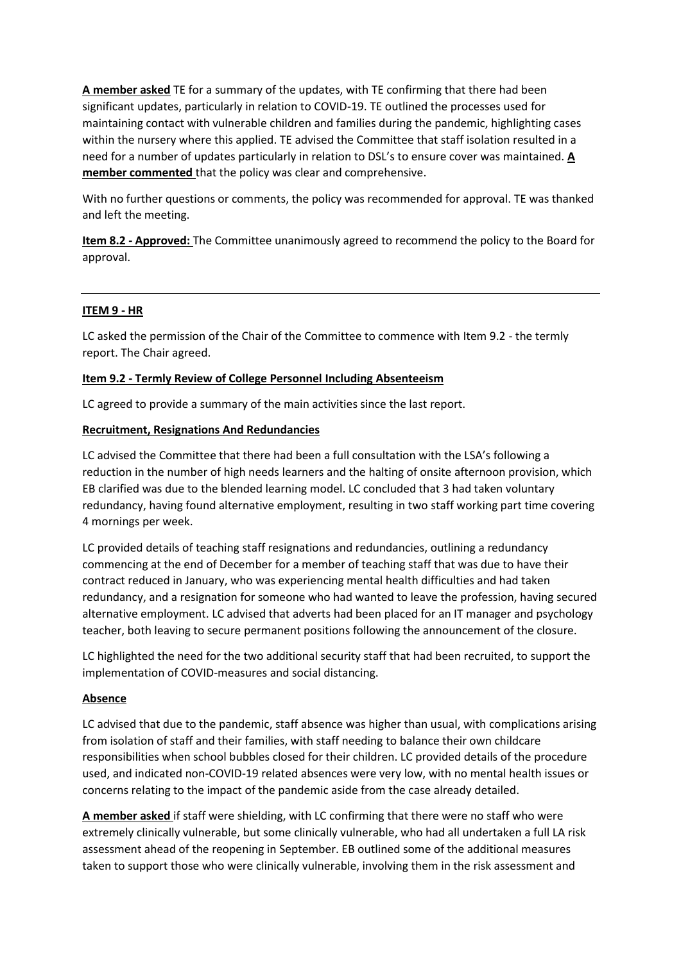**A member asked** TE for a summary of the updates, with TE confirming that there had been significant updates, particularly in relation to COVID-19. TE outlined the processes used for maintaining contact with vulnerable children and families during the pandemic, highlighting cases within the nursery where this applied. TE advised the Committee that staff isolation resulted in a need for a number of updates particularly in relation to DSL's to ensure cover was maintained. **A member commented** that the policy was clear and comprehensive.

With no further questions or comments, the policy was recommended for approval. TE was thanked and left the meeting.

**Item 8.2 - Approved:** The Committee unanimously agreed to recommend the policy to the Board for approval.

# **ITEM 9 - HR**

LC asked the permission of the Chair of the Committee to commence with Item 9.2 - the termly report. The Chair agreed.

### **Item 9.2 - Termly Review of College Personnel Including Absenteeism**

LC agreed to provide a summary of the main activities since the last report.

# **Recruitment, Resignations And Redundancies**

LC advised the Committee that there had been a full consultation with the LSA's following a reduction in the number of high needs learners and the halting of onsite afternoon provision, which EB clarified was due to the blended learning model. LC concluded that 3 had taken voluntary redundancy, having found alternative employment, resulting in two staff working part time covering 4 mornings per week.

LC provided details of teaching staff resignations and redundancies, outlining a redundancy commencing at the end of December for a member of teaching staff that was due to have their contract reduced in January, who was experiencing mental health difficulties and had taken redundancy, and a resignation for someone who had wanted to leave the profession, having secured alternative employment. LC advised that adverts had been placed for an IT manager and psychology teacher, both leaving to secure permanent positions following the announcement of the closure.

LC highlighted the need for the two additional security staff that had been recruited, to support the implementation of COVID-measures and social distancing.

### **Absence**

LC advised that due to the pandemic, staff absence was higher than usual, with complications arising from isolation of staff and their families, with staff needing to balance their own childcare responsibilities when school bubbles closed for their children. LC provided details of the procedure used, and indicated non-COVID-19 related absences were very low, with no mental health issues or concerns relating to the impact of the pandemic aside from the case already detailed.

**A member asked** if staff were shielding, with LC confirming that there were no staff who were extremely clinically vulnerable, but some clinically vulnerable, who had all undertaken a full LA risk assessment ahead of the reopening in September. EB outlined some of the additional measures taken to support those who were clinically vulnerable, involving them in the risk assessment and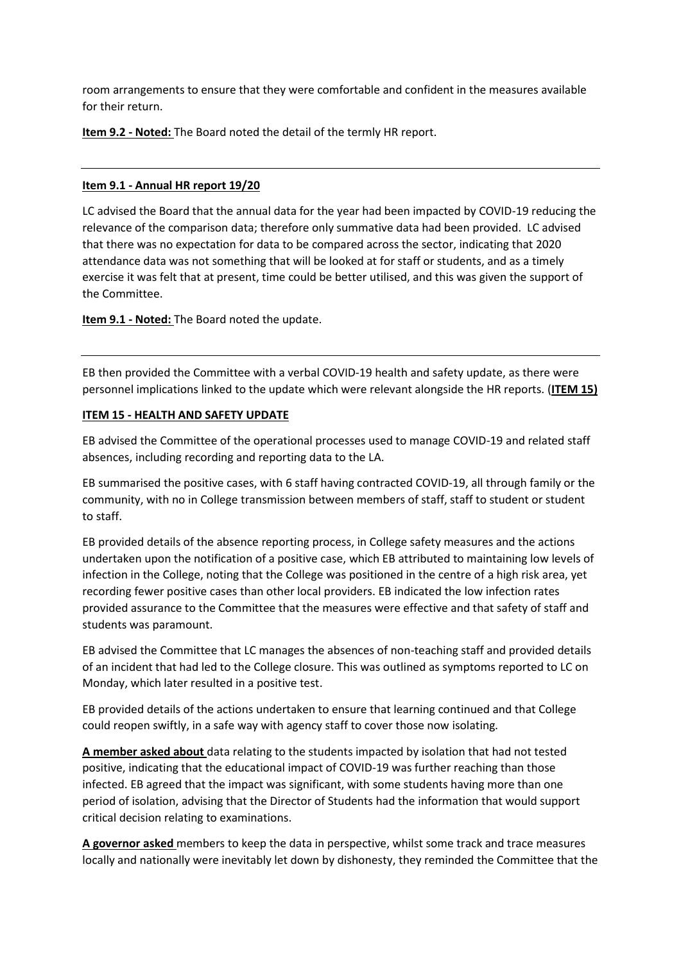room arrangements to ensure that they were comfortable and confident in the measures available for their return.

**Item 9.2 - Noted:** The Board noted the detail of the termly HR report.

### **Item 9.1 - Annual HR report 19/20**

LC advised the Board that the annual data for the year had been impacted by COVID-19 reducing the relevance of the comparison data; therefore only summative data had been provided. LC advised that there was no expectation for data to be compared across the sector, indicating that 2020 attendance data was not something that will be looked at for staff or students, and as a timely exercise it was felt that at present, time could be better utilised, and this was given the support of the Committee.

**Item 9.1 - Noted:** The Board noted the update.

EB then provided the Committee with a verbal COVID-19 health and safety update, as there were personnel implications linked to the update which were relevant alongside the HR reports. (**ITEM 15)**

# **ITEM 15 - HEALTH AND SAFETY UPDATE**

EB advised the Committee of the operational processes used to manage COVID-19 and related staff absences, including recording and reporting data to the LA.

EB summarised the positive cases, with 6 staff having contracted COVID-19, all through family or the community, with no in College transmission between members of staff, staff to student or student to staff.

EB provided details of the absence reporting process, in College safety measures and the actions undertaken upon the notification of a positive case, which EB attributed to maintaining low levels of infection in the College, noting that the College was positioned in the centre of a high risk area, yet recording fewer positive cases than other local providers. EB indicated the low infection rates provided assurance to the Committee that the measures were effective and that safety of staff and students was paramount.

EB advised the Committee that LC manages the absences of non-teaching staff and provided details of an incident that had led to the College closure. This was outlined as symptoms reported to LC on Monday, which later resulted in a positive test.

EB provided details of the actions undertaken to ensure that learning continued and that College could reopen swiftly, in a safe way with agency staff to cover those now isolating.

**A member asked about** data relating to the students impacted by isolation that had not tested positive, indicating that the educational impact of COVID-19 was further reaching than those infected. EB agreed that the impact was significant, with some students having more than one period of isolation, advising that the Director of Students had the information that would support critical decision relating to examinations.

**A governor asked** members to keep the data in perspective, whilst some track and trace measures locally and nationally were inevitably let down by dishonesty, they reminded the Committee that the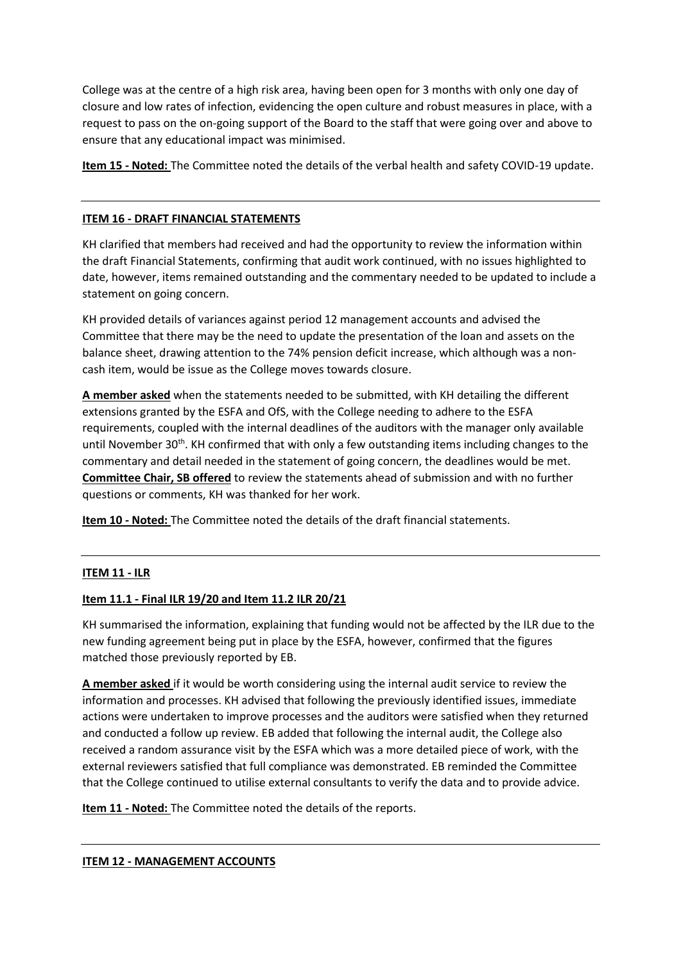College was at the centre of a high risk area, having been open for 3 months with only one day of closure and low rates of infection, evidencing the open culture and robust measures in place, with a request to pass on the on-going support of the Board to the staff that were going over and above to ensure that any educational impact was minimised.

**Item 15 - Noted:** The Committee noted the details of the verbal health and safety COVID-19 update.

# **ITEM 16 - DRAFT FINANCIAL STATEMENTS**

KH clarified that members had received and had the opportunity to review the information within the draft Financial Statements, confirming that audit work continued, with no issues highlighted to date, however, items remained outstanding and the commentary needed to be updated to include a statement on going concern.

KH provided details of variances against period 12 management accounts and advised the Committee that there may be the need to update the presentation of the loan and assets on the balance sheet, drawing attention to the 74% pension deficit increase, which although was a noncash item, would be issue as the College moves towards closure.

**A member asked** when the statements needed to be submitted, with KH detailing the different extensions granted by the ESFA and OfS, with the College needing to adhere to the ESFA requirements, coupled with the internal deadlines of the auditors with the manager only available until November 30<sup>th</sup>. KH confirmed that with only a few outstanding items including changes to the commentary and detail needed in the statement of going concern, the deadlines would be met. **Committee Chair, SB offered** to review the statements ahead of submission and with no further questions or comments, KH was thanked for her work.

**Item 10 - Noted:** The Committee noted the details of the draft financial statements.

# **ITEM 11 - ILR**

### **Item 11.1 - Final ILR 19/20 and Item 11.2 ILR 20/21**

KH summarised the information, explaining that funding would not be affected by the ILR due to the new funding agreement being put in place by the ESFA, however, confirmed that the figures matched those previously reported by EB.

**A member asked** if it would be worth considering using the internal audit service to review the information and processes. KH advised that following the previously identified issues, immediate actions were undertaken to improve processes and the auditors were satisfied when they returned and conducted a follow up review. EB added that following the internal audit, the College also received a random assurance visit by the ESFA which was a more detailed piece of work, with the external reviewers satisfied that full compliance was demonstrated. EB reminded the Committee that the College continued to utilise external consultants to verify the data and to provide advice.

**Item 11 - Noted:** The Committee noted the details of the reports.

### **ITEM 12 - MANAGEMENT ACCOUNTS**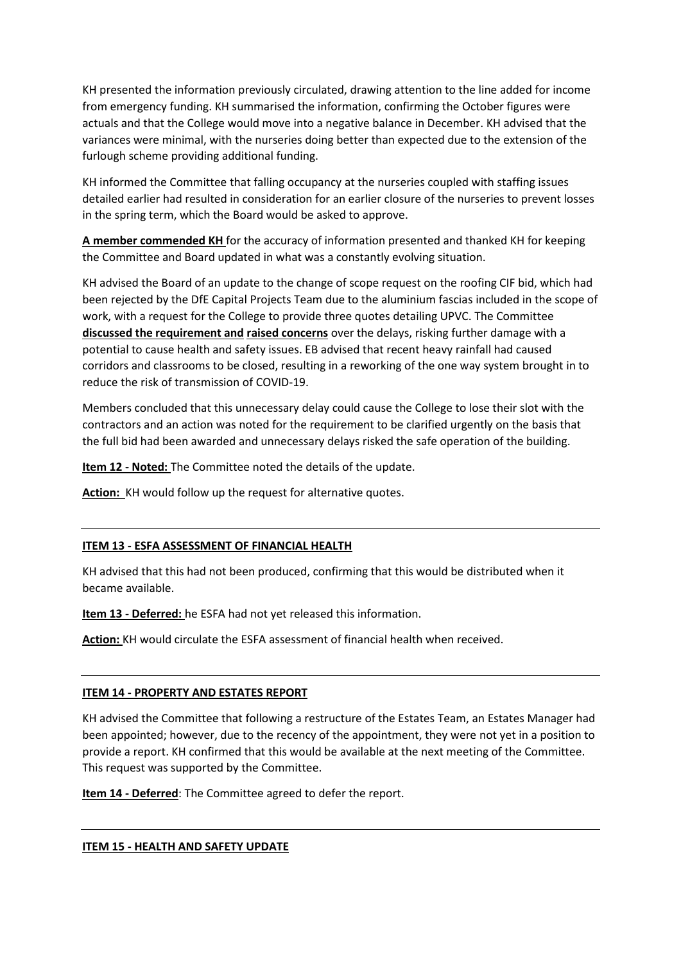KH presented the information previously circulated, drawing attention to the line added for income from emergency funding. KH summarised the information, confirming the October figures were actuals and that the College would move into a negative balance in December. KH advised that the variances were minimal, with the nurseries doing better than expected due to the extension of the furlough scheme providing additional funding.

KH informed the Committee that falling occupancy at the nurseries coupled with staffing issues detailed earlier had resulted in consideration for an earlier closure of the nurseries to prevent losses in the spring term, which the Board would be asked to approve.

**A member commended KH** for the accuracy of information presented and thanked KH for keeping the Committee and Board updated in what was a constantly evolving situation.

KH advised the Board of an update to the change of scope request on the roofing CIF bid, which had been rejected by the DfE Capital Projects Team due to the aluminium fascias included in the scope of work, with a request for the College to provide three quotes detailing UPVC. The Committee **discussed the requirement and raised concerns** over the delays, risking further damage with a potential to cause health and safety issues. EB advised that recent heavy rainfall had caused corridors and classrooms to be closed, resulting in a reworking of the one way system brought in to reduce the risk of transmission of COVID-19.

Members concluded that this unnecessary delay could cause the College to lose their slot with the contractors and an action was noted for the requirement to be clarified urgently on the basis that the full bid had been awarded and unnecessary delays risked the safe operation of the building.

**Item 12 - Noted:** The Committee noted the details of the update.

**Action:** KH would follow up the request for alternative quotes.

### **ITEM 13 - ESFA ASSESSMENT OF FINANCIAL HEALTH**

KH advised that this had not been produced, confirming that this would be distributed when it became available.

**Item 13 - Deferred:** he ESFA had not yet released this information.

**Action:** KH would circulate the ESFA assessment of financial health when received.

### **ITEM 14 - PROPERTY AND ESTATES REPORT**

KH advised the Committee that following a restructure of the Estates Team, an Estates Manager had been appointed; however, due to the recency of the appointment, they were not yet in a position to provide a report. KH confirmed that this would be available at the next meeting of the Committee. This request was supported by the Committee.

**Item 14 - Deferred**: The Committee agreed to defer the report.

### **ITEM 15 - HEALTH AND SAFETY UPDATE**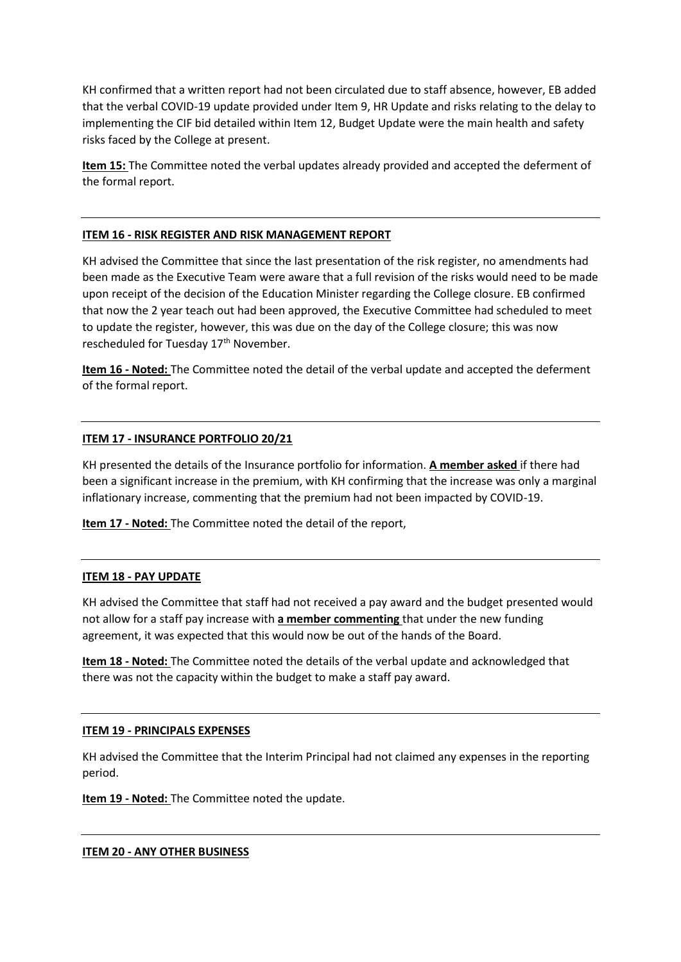KH confirmed that a written report had not been circulated due to staff absence, however, EB added that the verbal COVID-19 update provided under Item 9, HR Update and risks relating to the delay to implementing the CIF bid detailed within Item 12, Budget Update were the main health and safety risks faced by the College at present.

**Item 15:** The Committee noted the verbal updates already provided and accepted the deferment of the formal report.

### **ITEM 16 - RISK REGISTER AND RISK MANAGEMENT REPORT**

KH advised the Committee that since the last presentation of the risk register, no amendments had been made as the Executive Team were aware that a full revision of the risks would need to be made upon receipt of the decision of the Education Minister regarding the College closure. EB confirmed that now the 2 year teach out had been approved, the Executive Committee had scheduled to meet to update the register, however, this was due on the day of the College closure; this was now rescheduled for Tuesday 17<sup>th</sup> November.

**Item 16 - Noted:** The Committee noted the detail of the verbal update and accepted the deferment of the formal report.

# **ITEM 17 - INSURANCE PORTFOLIO 20/21**

KH presented the details of the Insurance portfolio for information. **A member asked** if there had been a significant increase in the premium, with KH confirming that the increase was only a marginal inflationary increase, commenting that the premium had not been impacted by COVID-19.

**Item 17 - Noted:** The Committee noted the detail of the report,

### **ITEM 18 - PAY UPDATE**

KH advised the Committee that staff had not received a pay award and the budget presented would not allow for a staff pay increase with **a member commenting** that under the new funding agreement, it was expected that this would now be out of the hands of the Board.

**Item 18 - Noted:** The Committee noted the details of the verbal update and acknowledged that there was not the capacity within the budget to make a staff pay award.

### **ITEM 19 - PRINCIPALS EXPENSES**

KH advised the Committee that the Interim Principal had not claimed any expenses in the reporting period.

**Item 19 - Noted:** The Committee noted the update.

**ITEM 20 - ANY OTHER BUSINESS**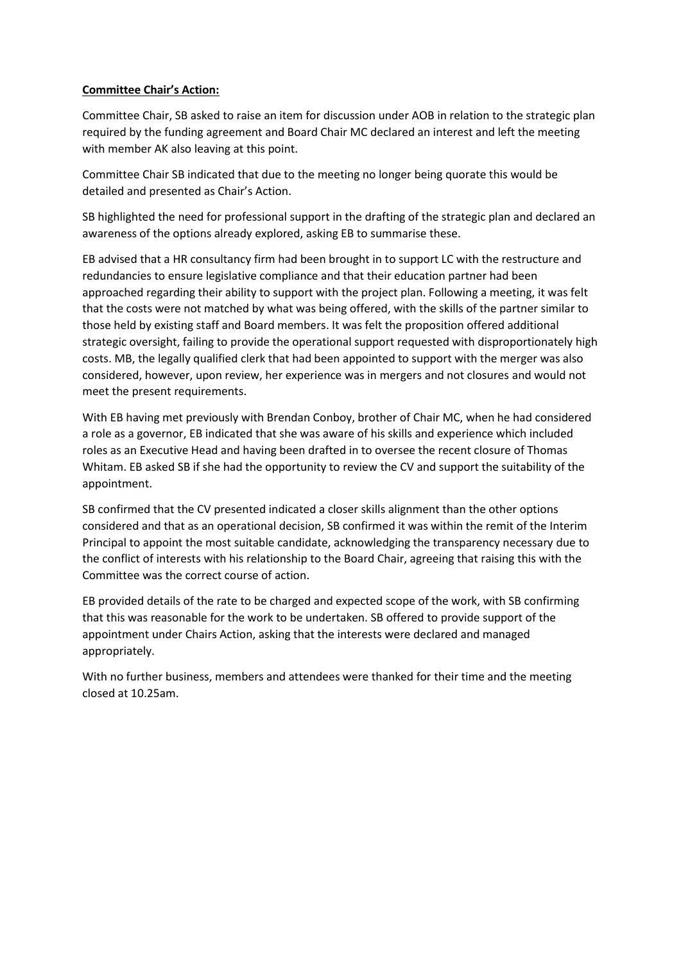## **Committee Chair's Action:**

Committee Chair, SB asked to raise an item for discussion under AOB in relation to the strategic plan required by the funding agreement and Board Chair MC declared an interest and left the meeting with member AK also leaving at this point.

Committee Chair SB indicated that due to the meeting no longer being quorate this would be detailed and presented as Chair's Action.

SB highlighted the need for professional support in the drafting of the strategic plan and declared an awareness of the options already explored, asking EB to summarise these.

EB advised that a HR consultancy firm had been brought in to support LC with the restructure and redundancies to ensure legislative compliance and that their education partner had been approached regarding their ability to support with the project plan. Following a meeting, it was felt that the costs were not matched by what was being offered, with the skills of the partner similar to those held by existing staff and Board members. It was felt the proposition offered additional strategic oversight, failing to provide the operational support requested with disproportionately high costs. MB, the legally qualified clerk that had been appointed to support with the merger was also considered, however, upon review, her experience was in mergers and not closures and would not meet the present requirements.

With EB having met previously with Brendan Conboy, brother of Chair MC, when he had considered a role as a governor, EB indicated that she was aware of his skills and experience which included roles as an Executive Head and having been drafted in to oversee the recent closure of Thomas Whitam. EB asked SB if she had the opportunity to review the CV and support the suitability of the appointment.

SB confirmed that the CV presented indicated a closer skills alignment than the other options considered and that as an operational decision, SB confirmed it was within the remit of the Interim Principal to appoint the most suitable candidate, acknowledging the transparency necessary due to the conflict of interests with his relationship to the Board Chair, agreeing that raising this with the Committee was the correct course of action.

EB provided details of the rate to be charged and expected scope of the work, with SB confirming that this was reasonable for the work to be undertaken. SB offered to provide support of the appointment under Chairs Action, asking that the interests were declared and managed appropriately.

With no further business, members and attendees were thanked for their time and the meeting closed at 10.25am.